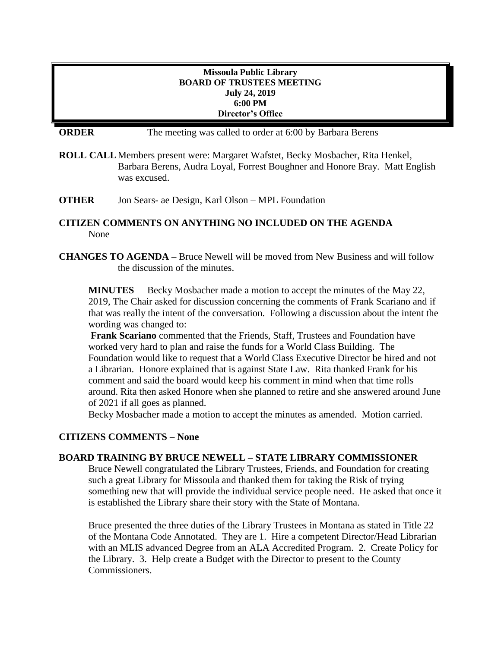## **Missoula Public Library BOARD OF TRUSTEES MEETING July 24, 2019 6:00 PM Director's Office**

**ORDER** The meeting was called to order at 6:00 by Barbara Berens

**ROLL CALL**Members present were: Margaret Wafstet, Becky Mosbacher, Rita Henkel, Barbara Berens, Audra Loyal, Forrest Boughner and Honore Bray. Matt English was excused.

**OTHER** Jon Sears- ae Design, Karl Olson – MPL Foundation

# **CITIZEN COMMENTS ON ANYTHING NO INCLUDED ON THE AGENDA** None

**CHANGES TO AGENDA –** Bruce Newell will be moved from New Business and will follow the discussion of the minutes.

**MINUTES** Becky Mosbacher made a motion to accept the minutes of the May 22, 2019, The Chair asked for discussion concerning the comments of Frank Scariano and if that was really the intent of the conversation. Following a discussion about the intent the wording was changed to:

**Frank Scariano** commented that the Friends, Staff, Trustees and Foundation have worked very hard to plan and raise the funds for a World Class Building. The Foundation would like to request that a World Class Executive Director be hired and not a Librarian. Honore explained that is against State Law. Rita thanked Frank for his comment and said the board would keep his comment in mind when that time rolls around. Rita then asked Honore when she planned to retire and she answered around June of 2021 if all goes as planned.

Becky Mosbacher made a motion to accept the minutes as amended. Motion carried.

## **CITIZENS COMMENTS – None**

## **BOARD TRAINING BY BRUCE NEWELL – STATE LIBRARY COMMISSIONER**

Bruce Newell congratulated the Library Trustees, Friends, and Foundation for creating such a great Library for Missoula and thanked them for taking the Risk of trying something new that will provide the individual service people need. He asked that once it is established the Library share their story with the State of Montana.

Bruce presented the three duties of the Library Trustees in Montana as stated in Title 22 of the Montana Code Annotated. They are 1. Hire a competent Director/Head Librarian with an MLIS advanced Degree from an ALA Accredited Program. 2. Create Policy for the Library. 3. Help create a Budget with the Director to present to the County Commissioners.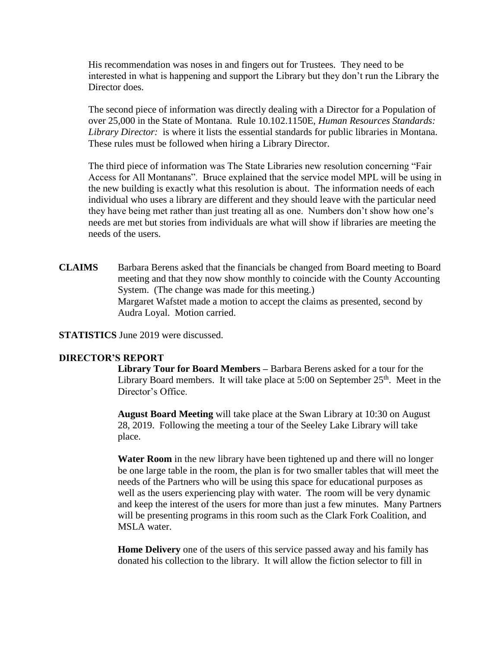His recommendation was noses in and fingers out for Trustees. They need to be interested in what is happening and support the Library but they don't run the Library the Director does.

The second piece of information was directly dealing with a Director for a Population of over 25,000 in the State of Montana. Rule 10.102.1150E, *Human Resources Standards: Library Director:* is where it lists the essential standards for public libraries in Montana. These rules must be followed when hiring a Library Director.

The third piece of information was The State Libraries new resolution concerning "Fair Access for All Montanans". Bruce explained that the service model MPL will be using in the new building is exactly what this resolution is about. The information needs of each individual who uses a library are different and they should leave with the particular need they have being met rather than just treating all as one. Numbers don't show how one's needs are met but stories from individuals are what will show if libraries are meeting the needs of the users.

**CLAIMS** Barbara Berens asked that the financials be changed from Board meeting to Board meeting and that they now show monthly to coincide with the County Accounting System. (The change was made for this meeting.) Margaret Wafstet made a motion to accept the claims as presented, second by Audra Loyal. Motion carried.

**STATISTICS** June 2019 were discussed.

#### **DIRECTOR'S REPORT**

**Library Tour for Board Members –** Barbara Berens asked for a tour for the Library Board members. It will take place at  $5:00$  on September  $25<sup>th</sup>$ . Meet in the Director's Office.

**August Board Meeting** will take place at the Swan Library at 10:30 on August 28, 2019. Following the meeting a tour of the Seeley Lake Library will take place.

**Water Room** in the new library have been tightened up and there will no longer be one large table in the room, the plan is for two smaller tables that will meet the needs of the Partners who will be using this space for educational purposes as well as the users experiencing play with water. The room will be very dynamic and keep the interest of the users for more than just a few minutes. Many Partners will be presenting programs in this room such as the Clark Fork Coalition, and MSLA water.

**Home Delivery** one of the users of this service passed away and his family has donated his collection to the library. It will allow the fiction selector to fill in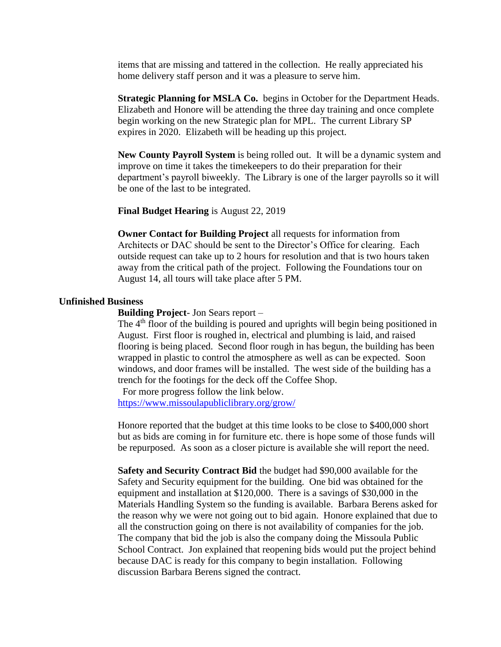items that are missing and tattered in the collection. He really appreciated his home delivery staff person and it was a pleasure to serve him.

**Strategic Planning for MSLA Co.** begins in October for the Department Heads. Elizabeth and Honore will be attending the three day training and once complete begin working on the new Strategic plan for MPL. The current Library SP expires in 2020. Elizabeth will be heading up this project.

**New County Payroll System** is being rolled out. It will be a dynamic system and improve on time it takes the timekeepers to do their preparation for their department's payroll biweekly. The Library is one of the larger payrolls so it will be one of the last to be integrated.

**Final Budget Hearing** is August 22, 2019

**Owner Contact for Building Project** all requests for information from Architects or DAC should be sent to the Director's Office for clearing. Each outside request can take up to 2 hours for resolution and that is two hours taken away from the critical path of the project. Following the Foundations tour on August 14, all tours will take place after 5 PM.

#### **Unfinished Business**

**Building Project**- Jon Sears report –

The  $4<sup>th</sup>$  floor of the building is poured and uprights will begin being positioned in August. First floor is roughed in, electrical and plumbing is laid, and raised flooring is being placed. Second floor rough in has begun, the building has been wrapped in plastic to control the atmosphere as well as can be expected. Soon windows, and door frames will be installed. The west side of the building has a trench for the footings for the deck off the Coffee Shop.

 For more progress follow the link below. <https://www.missoulapubliclibrary.org/grow/>

Honore reported that the budget at this time looks to be close to \$400,000 short but as bids are coming in for furniture etc. there is hope some of those funds will be repurposed. As soon as a closer picture is available she will report the need.

**Safety and Security Contract Bid** the budget had \$90,000 available for the Safety and Security equipment for the building. One bid was obtained for the equipment and installation at \$120,000. There is a savings of \$30,000 in the Materials Handling System so the funding is available. Barbara Berens asked for the reason why we were not going out to bid again. Honore explained that due to all the construction going on there is not availability of companies for the job. The company that bid the job is also the company doing the Missoula Public School Contract. Jon explained that reopening bids would put the project behind because DAC is ready for this company to begin installation. Following discussion Barbara Berens signed the contract.